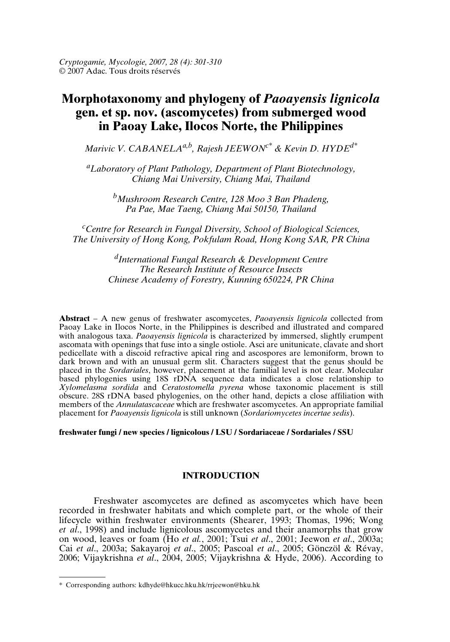*Cryptogamie, Mycologie, 2007, 28 (4): 301-310* © 2007 Adac. Tous droits réservés

# **Morphotaxonomy and phylogeny of** *Paoayensis lignicola* **gen. et sp. nov. (ascomycetes) from submerged wood in Paoay Lake, Ilocos Norte, the Philippines**

*Marivic V. CABANELAa,b, Rajesh JEEWONc\* & Kevin D. HYDEd\**

*<sup>a</sup>Laboratory of Plant Pathology, Department of Plant Biotechnology, Chiang Mai University, Chiang Mai, Thailand*

*<sup>b</sup>Mushroom Research Centre, 128 Moo 3 Ban Phadeng, Pa Pae, Mae Taeng, Chiang Mai 50150, Thailand*

*<sup>c</sup>Centre for Research in Fungal Diversity, School of Biological Sciences, The University of Hong Kong, Pokfulam Road, Hong Kong SAR, PR China*

> *d International Fungal Research & Development Centre The Research Institute of Resource Insects Chinese Academy of Forestry, Kunning 650224, PR China*

**Abstract** – A new genus of freshwater ascomycetes, *Paoayensis lignicola* collected from Paoay Lake in Ilocos Norte, in the Philippines is described and illustrated and compared with analogous taxa. *Paoayensis lignicola* is characterized by immersed, slightly erumpent ascomata with openings that fuse into a single ostiole. Asci are unitunicate, clavate and short pedicellate with a discoid refractive apical ring and ascospores are lemoniform, brown to dark brown and with an unusual germ slit. Characters suggest that the genus should be placed in the *Sordariales*, however, placement at the familial level is not clear. Molecular based phylogenies using 18S rDNA sequence data indicates a close relationship to *Xylomelasma sordida* and *Ceratostomella pyrena* whose taxonomic placement is still obscure. 28S rDNA based phylogenies, on the other hand, depicts a close affiliation with members of the *Annulatascaceae* which are freshwater ascomycetes. An appropriate familial placement for *Paoayensis lignicola* is still unknown (*Sordariomycetes incertae sedis*).

**freshwater fungi / new species / lignicolous / LSU / Sordariaceae / Sordariales / SSU**

# **INTRODUCTION**

Freshwater ascomycetes are defined as ascomycetes which have been recorded in freshwater habitats and which complete part, or the whole of their lifecycle within freshwater environments (Shearer, 1993; Thomas, 1996; Wong *et al*., 1998) and include lignicolous ascomycetes and their anamorphs that grow on wood, leaves or foam (Ho *et al.*, 2001; Tsui *et al*., 2001; Jeewon *et al*., 2003a; Cai *et al*., 2003a; Sakayaroj *et al*., 2005; Pascoal *et al*., 2005; Gönczöl & Révay, 2006; Vijaykrishna *et al*., 2004, 2005; Vijaykrishna & Hyde, 2006). According to

<sup>\*</sup> Corresponding authors: kdhyde@hkucc.hku.hk/rrjeewon@hku.hk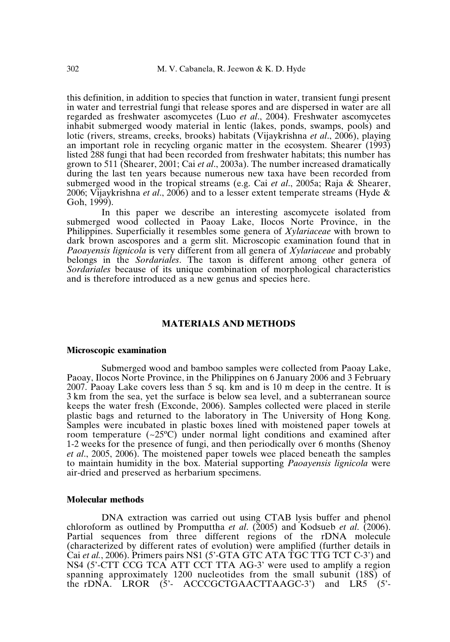this definition, in addition to species that function in water, transient fungi present in water and terrestrial fungi that release spores and are dispersed in water are all regarded as freshwater ascomycetes (Luo *et al*., 2004). Freshwater ascomycetes inhabit submerged woody material in lentic (lakes, ponds, swamps, pools) and lotic (rivers, streams, creeks, brooks) habitats (Vijaykrishna *et al*., 2006), playing an important role in recycling organic matter in the ecosystem. Shearer (1993) listed 288 fungi that had been recorded from freshwater habitats; this number has grown to 511 (Shearer, 2001; Cai *et al*., 2003a). The number increased dramatically during the last ten years because numerous new taxa have been recorded from submerged wood in the tropical streams (e.g. Cai *et al*., 2005a; Raja & Shearer, 2006; Vijaykrishna *et al*., 2006) and to a lesser extent temperate streams (Hyde &  $Goh(1999)$ .

In this paper we describe an interesting ascomycete isolated from submerged wood collected in Paoay Lake, Ilocos Norte Province, in the Philippines. Superficially it resembles some genera of *Xylariaceae* with brown to dark brown ascospores and a germ slit. Microscopic examination found that in *Paoayensis lignicola* is very different from all genera of *Xylariaceae* and probably belongs in the *Sordariales*. The taxon is different among other genera of *Sordariales* because of its unique combination of morphological characteristics and is therefore introduced as a new genus and species here.

## **MATERIALS AND METHODS**

#### **Microscopic examination**

Submerged wood and bamboo samples were collected from Paoay Lake, Paoay, Ilocos Norte Province, in the Philippines on 6 January 2006 and 3 February 2007. Paoay Lake covers less than 5 sq. km and is 10 m deep in the centre. It is 3 km from the sea, yet the surface is below sea level, and a subterranean source keeps the water fresh (Exconde, 2006). Samples collected were placed in sterile plastic bags and returned to the laboratory in The University of Hong Kong. Samples were incubated in plastic boxes lined with moistened paper towels at room temperature  $(\sim 25^{\circ}\text{C})$  under normal light conditions and examined after 1-2 weeks for the presence of fungi, and then periodically over 6 months (Shenoy *et al*., 2005, 2006). The moistened paper towels wee placed beneath the samples to maintain humidity in the box. Material supporting *Paoayensis lignicola* were air-dried and preserved as herbarium specimens.

## **Molecular methods**

DNA extraction was carried out using CTAB lysis buffer and phenol chloroform as outlined by Promputtha *et al*. (2005) and Kodsueb *et al*. (2006). Partial sequences from three different regions of the rDNA molecule (characterized by different rates of evolution) were amplified (further details in Cai *et al.*, 2006). Primers pairs NS1 (5'-GTA GTC ATA TGC TTG TCT C-3') and NS4 (5'-CTT CCG TCA ATT CCT TTA AG-3' were used to amplify a region spanning approximately 1200 nucleotides from the small subunit (18S) of the rDNA. LROR (5'- ACCCGCTGAACTTAAGC-3') and LR5 (5'-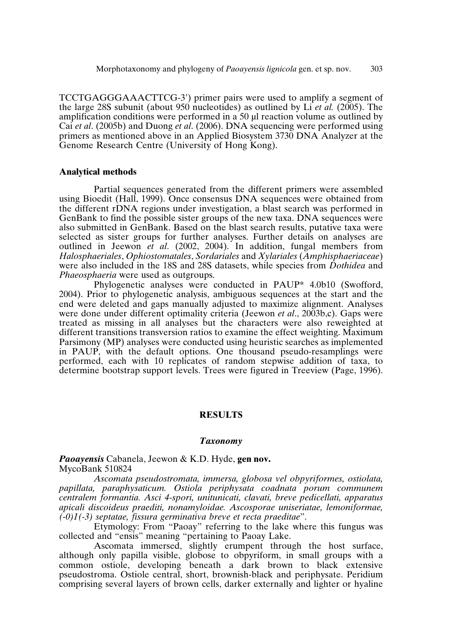TCCTGAGGGAAACTTCG-3') primer pairs were used to amplify a segment of the large 28S subunit (about 950 nucleotides) as outlined by Li *et al.* (2005). The amplification conditions were performed in  $a$  50  $\mu$ l reaction volume as outlined by Cai *et al*. (2005b) and Duong *et al*. (2006). DNA sequencing were performed using primers as mentioned above in an Applied Biosystem 3730 DNA Analyzer at the Genome Research Centre (University of Hong Kong).

## **Analytical methods**

Partial sequences generated from the different primers were assembled using Bioedit (Hall, 1999). Once consensus DNA sequences were obtained from the different rDNA regions under investigation, a blast search was performed in GenBank to find the possible sister groups of the new taxa. DNA sequences were also submitted in GenBank. Based on the blast search results, putative taxa were selected as sister groups for further analyses. Further details on analyses are outlined in Jeewon *et al*. (2002, 2004). In addition, fungal members from *Halosphaeriales*, *Ophiostomatales*, *Sordariales* and *Xylariales* (*Amphisphaeriaceae*) were also included in the 18S and 28S datasets, while species from *Dothidea* and *Phaeosphaeria* were used as outgroups.

Phylogenetic analyses were conducted in PAUP\* 4.0b10 (Swofford, 2004). Prior to phylogenetic analysis, ambiguous sequences at the start and the end were deleted and gaps manually adjusted to maximize alignment. Analyses were done under different optimality criteria (Jeewon *et al*., 2003b,c). Gaps were treated as missing in all analyses but the characters were also reweighted at different transitions transversion ratios to examine the effect weighting. Maximum Parsimony (MP) analyses were conducted using heuristic searches as implemented in PAUP, with the default options. One thousand pseudo-resamplings were performed, each with 10 replicates of random stepwise addition of taxa, to determine bootstrap support levels. Trees were figured in Treeview (Page, 1996).

### **RESULTS**

### *Taxonomy*

# *Paoayensis* Cabanela, Jeewon & K.D. Hyde, **gen nov.** MycoBank 510824

*Ascomata pseudostromata, immersa, globosa vel obpyriformes, ostiolata, papillata, paraphysaticum. Ostiola periphysata coadnata porum communem centralem formantia. Asci 4-spori, unitunicati, clavati, breve pedicellati, apparatus apicali discoideus praediti, nonamyloidae. Ascosporae uniseriatae, lemoniformae, (-0)1(-3) septatae, fissura germinativa breve et recta praeditae*".

Etymology: From "Paoay" referring to the lake where this fungus was collected and "ensis" meaning "pertaining to Paoay Lake.

Ascomata immersed, slightly erumpent through the host surface, although only papilla visible, globose to obpyriform, in small groups with a common ostiole, developing beneath a dark brown to black extensive pseudostroma. Ostiole central, short, brownish-black and periphysate. Peridium comprising several layers of brown cells, darker externally and lighter or hyaline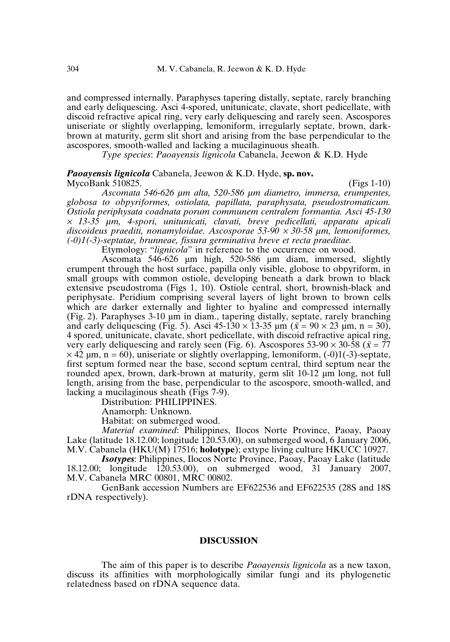and compressed internally. Paraphyses tapering distally, septate, rarely branching and early deliquescing. Asci 4-spored, unitunicate, clavate, short pedicellate, with discoid refractive apical ring, very early deliquescing and rarely seen. Ascospores uniseriate or slightly overlapping, lemoniform, irregularly septate, brown, darkbrown at maturity, germ slit short and arising from the base perpendicular to the ascospores, smooth-walled and lacking a mucilaginuous sheath.

*Type species*: *Paoayensis lignicola* Cabanela, Jeewon & K.D. Hyde

## *Paoayensis lignicola* Cabanela, Jeewon & K.D. Hyde, **sp. nov.**  $MycoBank 510825.$  (Figs 1-10)

*Ascomata 546-626 µm alta, 520-586 µm diametro, immersa, erumpentes, globosa to obpyriformes, ostiolata, papillata, paraphysata, pseudostromaticum. Ostiola periphysata coadnata porum communem centralem formantia. Asci 45-130* × *13-35 µm, 4-spori, unitunicati, clavati, breve pedicellati, apparatu apicali discoideus praediti, nonamyloidae. Ascosporae 53-90* <sup>×</sup> *30-58 µm, lemoniformes, (-0)1(-3)-septatae, brunneae, fissura germinativa breve et recta praeditae.*

Etymology: "*lignicola*" in reference to the occurrence on wood.

Ascomata 546-626 µm high, 520-586 µm diam, immersed, slightly erumpent through the host surface, papilla only visible, globose to obpyriform, in small groups with common ostiole, developing beneath a dark brown to black extensive pseudostroma (Figs 1, 10). Ostiole central, short, brownish-black and periphysate. Peridium comprising several layers of light brown to brown cells which are darker externally and lighter to hyaline and compressed internally (Fig. 2). Paraphyses 3-10 µm in diam., tapering distally, septate, rarely branching and early deliquescing (Fig. 5). Asci  $45-130 \times 13-35$  µm ( $\bar{x} = 90 \times 23$  µm, n = 30), 4 spored, unitunicate, clavate, short pedicellate, with discoid refractive apical ring, very early deliquescing and rarely seen (Fig. 6). Ascospores 53-90  $\times$  30-58 ( $\bar{x}$  = 77  $\times$  42  $\mu$ m, n = 60), uniseriate or slightly overlapping, lemoniform, (-0)1(-3)-septate, first septum formed near the base, second septum central, third septum near the rounded apex, brown, dark-brown at maturity, germ slit 10-12 µm long, not full length, arising from the base, perpendicular to the ascospore, smooth-walled, and lacking a mucilaginous sheath (Figs 7-9).

Distribution: PHILIPPINES.

Anamorph: Unknown.

Habitat: on submerged wood.

*Material examined*: Philippines, Ilocos Norte Province, Paoay, Paoay Lake (latitude 18.12.00; longitude 120.53.00), on submerged wood, 6 January 2006, M.V. Cabanela (HKU(M) 17516; **holotype**); extype living culture HKUCC 10927.

*Isotypes*: Philippines, Ilocos Norte Province, Paoay, Paoay Lake (latitude 18.12.00; longitude 120.53.00), on submerged wood, 31 January 2007, M.V. Cabanela MRC 00801, MRC 00802.

GenBank accession Numbers are EF622536 and EF622535 (28S and 18S rDNA respectively).

## **DISCUSSION**

The aim of this paper is to describe *Paoayensis lignicola* as a new taxon, discuss its affinities with morphologically similar fungi and its phylogenetic relatedness based on rDNA sequence data.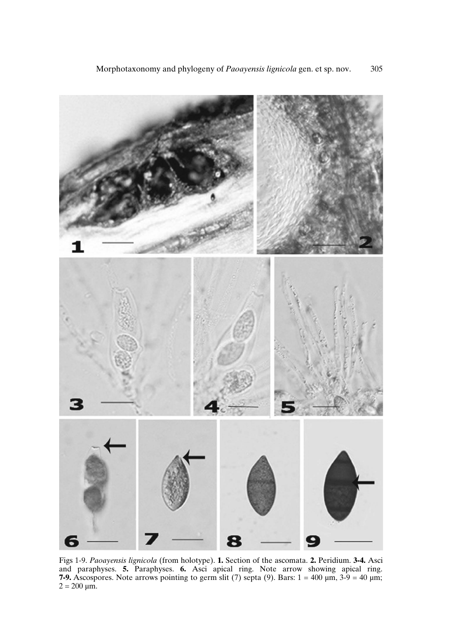

Figs 1-9. *Paoayensis lignicola* (from holotype). **1.** Section of the ascomata. **2.** Peridium. **3-4.** Asci and paraphyses. **5.** Paraphyses. **6.** Asci apical ring. Note arrow showing apical ring. **7-9.** Ascospores. Note arrows pointing to germ slit (7) septa (9). Bars:  $1 = 400 \mu m$ ,  $3.9 = 40 \mu m$ ;  $2 = 200 \ \mu m$ .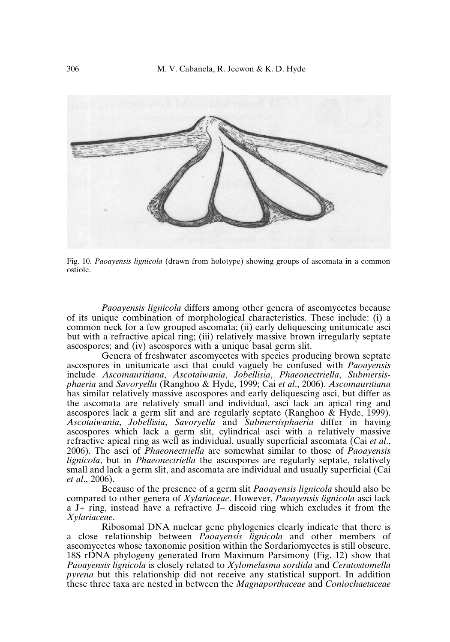

Fig. 10. *Paoayensis lignicola* (drawn from holotype) showing groups of ascomata in a common ostiole.

*Paoayensis lignicola* differs among other genera of ascomycetes because of its unique combination of morphological characteristics. These include: (i) a common neck for a few grouped ascomata; (ii) early deliquescing unitunicate asci but with a refractive apical ring; (iii) relatively massive brown irregularly septate ascospores; and (iv) ascospores with a unique basal germ slit.

Genera of freshwater ascomycetes with species producing brown septate ascospores in unitunicate asci that could vaguely be confused with *Paoayensis* include *Ascomauritiana*, *Ascotaiwania*, *Jobellisia*, *Phaeonectriella*, *Submersisphaeria* and *Savoryella* (Ranghoo & Hyde, 1999; Cai *et al*., 2006). *Ascomauritiana* has similar relatively massive ascospores and early deliquescing asci, but differ as the ascomata are relatively small and individual, asci lack an apical ring and ascospores lack a germ slit and are regularly septate (Ranghoo & Hyde, 1999). *Ascotaiwania*, *Jobellisia*, *Savoryella* and *Submersisphaeria* differ in having ascospores which lack a germ slit, cylindrical asci with a relatively massive refractive apical ring as well as individual, usually superficial ascomata (Cai *et al*., 2006). The asci of *Phaeonectriella* are somewhat similar to those of *Paoayensis lignicola*, but in *Phaeonectriella* the ascospores are regularly septate, relatively small and lack a germ slit, and ascomata are individual and usually superficial (Cai *et al*., 2006).

Because of the presence of a germ slit *Paoayensis lignicola* should also be compared to other genera of *Xylariaceae*. However, *Paoayensis lignicola* asci lack a J+ ring, instead have a refractive J– discoid ring which excludes it from the *Xylariaceae*.

Ribosomal DNA nuclear gene phylogenies clearly indicate that there is a close relationship between *Paoayensis lignicola* and other members of ascomycetes whose taxonomic position within the Sordariomycetes is still obscure. 18S rDNA phylogeny generated from Maximum Parsimony (Fig. 12) show that *Paoayensis lignicola* is closely related to *Xylomelasma sordida* and *Ceratostomella pyrena* but this relationship did not receive any statistical support. In addition these three taxa are nested in between the *Magnaporthaceae* and *Coniochaetaceae*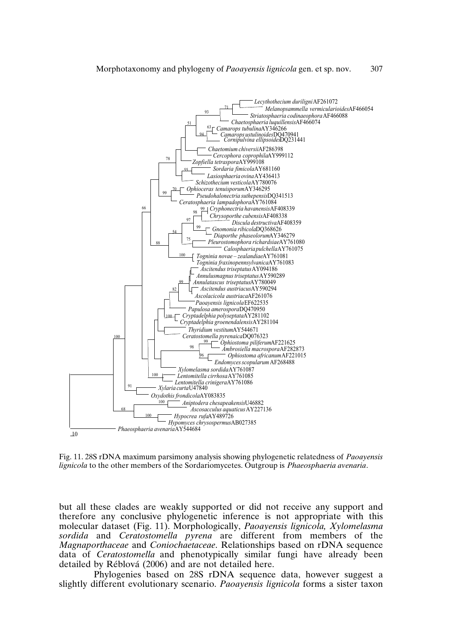

Fig. 11. 28S rDNA maximum parsimony analysis showing phylogenetic relatedness of *Paoayensis lignicola* to the other members of the Sordariomycetes. Outgroup is *Phaeosphaeria avenaria*.

but all these clades are weakly supported or did not receive any support and therefore any conclusive phylogenetic inference is not appropriate with this molecular dataset (Fig. 11). Morphologically, *Paoayensis lignicola, Xylomelasma sordida* and *Ceratostomella pyrena* are different from members of the *Magnaporthaceae* and *Coniochaetaceae*. Relationships based on rDNA sequence data of *Ceratostomella* and phenotypically similar fungi have already been detailed by Réblová (2006) and are not detailed here.

Phylogenies based on 28S rDNA sequence data, however suggest a slightly different evolutionary scenario. *Paoayensis lignicola* forms a sister taxon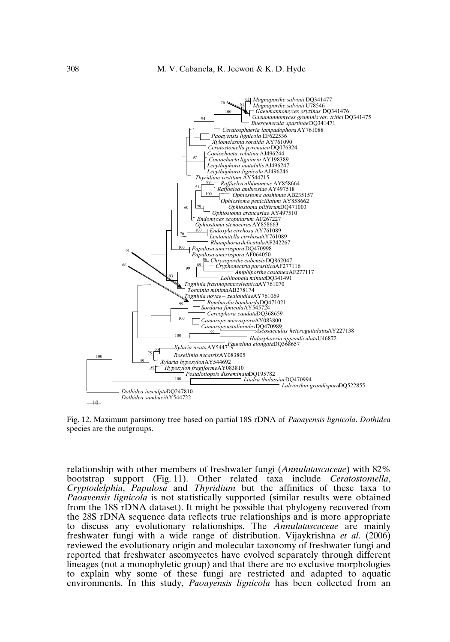

Fig. 12. Maximum parsimony tree based on partial 18S rDNA of *Paoayensis lignicola*. *Dothidea* species are the outgroups.

relationship with other members of freshwater fungi (*Annulatascaceae*) with 82% bootstrap support (Fig. 11). Other related taxa include *Ceratostomella*, *Cryptodelphia*, *Papulosa* and *Thyridium* but the affinities of these taxa to *Paoayensis lignicola* is not statistically supported (similar results were obtained from the 18S rDNA dataset). It might be possible that phylogeny recovered from the 28S rDNA sequence data reflects true relationships and is more appropriate to discuss any evolutionary relationships. The *Annulatascaceae* are mainly freshwater fungi with a wide range of distribution. Vijaykrishna *et al*. (2006) reviewed the evolutionary origin and molecular taxonomy of freshwater fungi and reported that freshwater ascomycetes have evolved separately through different lineages (not a monophyletic group) and that there are no exclusive morphologies to explain why some of these fungi are restricted and adapted to aquatic environments. In this study, *Paoayensis lignicola* has been collected from an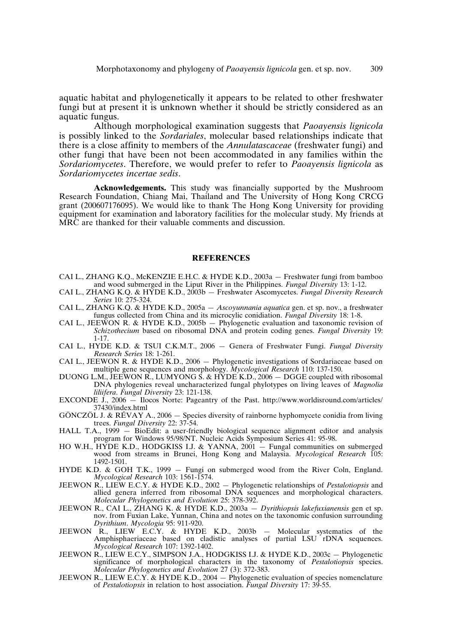aquatic habitat and phylogenetically it appears to be related to other freshwater fungi but at present it is unknown whether it should be strictly considered as an aquatic fungus.

Although morphological examination suggests that *Paoayensis lignicola* is possibly linked to the *Sordariales*, molecular based relationships indicate that there is a close affinity to members of the *Annulatascaceae* (freshwater fungi) and other fungi that have been not been accommodated in any families within the *Sordariomycetes*. Therefore, we would prefer to refer to *Paoayensis lignicola* as *Sordariomycetes incertae sedis*.

**Acknowledgements.** This study was financially supported by the Mushroom Research Foundation, Chiang Mai, Thailand and The University of Hong Kong CRCG grant (200607176095). We would like to thank The Hong Kong University for providing equipment for examination and laboratory facilities for the molecular study. My friends at MRC are thanked for their valuable comments and discussion.

#### **REFERENCES**

- CAI L., ZHANG K.Q., McKENZIE E.H.C. & HYDE K.D., 2003a Freshwater fungi from bamboo and wood submerged in the Liput River in the Philippines. *Fungal Diversity* 13: 1-12.
- CAI L., ZHANG K.Q. & HYDE K.D., 2003b Freshwater Ascomycetes. *Fungal Diversity Research Series* 10: 275-324.
- CAI L., ZHANG K.Q. & HYDE K.D., 2005a *Ascoyunnania aquatica* gen. et sp. nov., a freshwater fungus collected from China and its microcylic conidiation. *Fungal Diversity* 18: 1-8.
- CAI L., JEEWON R. & HYDE K.D., 2005b Phylogenetic evaluation and taxonomic revision of *Schizothecium* based on ribosomal DNA and protein coding genes. *Fungal Diversity* 19: 1-17.
- CAI L., HYDE K.D. & TSUI C.K.M.T., 2006 Genera of Freshwater Fungi. *Fungal Diversity Research Series* 18: 1-261.
- CAI L., JEEWON R. & HYDE K.D., 2006 Phylogenetic investigations of Sordariaceae based on multiple gene sequences and morphology. *Mycological Research* 110: 137-150.
- DUONG L.M., JEEWON R., LUMYONG S. & HYDE K.D., 2006 DGGE coupled with ribosomal DNA phylogenies reveal uncharacterized fungal phylotypes on living leaves of *Magnolia liliifera*. *Fungal Diversity* 23: 121-138.
- EXCONDE  $\dot{J}$ , 2006 Ilocos Norte: Pageantry of the Past. http://www.worldisround.com/articles/ 37430/index.html
- GÖNCZÖL J. & RÉVAY A., 2006 Species diversity of rainborne hyphomycete conidia from living trees. *Fungal Diversity* 22: 37-54.
- HALL T.A., 1999 BioEdit: a user-friendly biological sequence alignment editor and analysis program for Windows 95/98/NT. Nucleic Acids Symposium Series 41: 95-98.
- HO W.H., HYDE K.D., HODGKISS I.J. & YANNA, 2001 Fungal communities on submerged wood from streams in Brunei, Hong Kong and Malaysia. *Mycological Research* 105: 1492-1501.
- HYDE K.D. & GOH T.K., 1999 Fungi on submerged wood from the River Coln, England. *Mycological Research* 103: 1561-1574.
- JEEWON R., LIEW E.C.Y. & HYDE K.D., 2002 Phylogenetic relationships of *Pestalotiopsis* and allied genera inferred from ribosomal DNA sequences and morphological characters. *Molecular Phylogenetics and Evolution* 25: 378-392.
- JEEWON R., CAI L., ZHANG K. & HYDE K.D., 2003a *Dyrithiopsis lakefuxianensis* gen et sp. nov. from Fuxian Lake, Yunnan, China and notes on the taxonomic confusion surrounding *Dyrithium*. *Mycologia* 95: 911-920.
- JEEWON R., LIEW E.C.Y. & HYDE K.D., 2003b Molecular systematics of the Amphisphaeriaceae based on cladistic analyses of partial LSU rDNA sequences. *Mycological Research* 107: 1392-1402.
- JEEWON R., LIEW E.C.Y., SIMPSON J.A., HODGKISS I.J. & HYDE K.D., 2003c Phylogenetic significance of morphological characters in the taxonomy of *Pestalotiopsis* species. *Molecular Phylogenetics and Evolution* 27 (3): 372-383.
- JEEWON R., LIEW E.C.Y. & HYDE K.D., 2004 Phylogenetic evaluation of species nomenclature of *Pestalotiopsis* in relation to host association. *Fungal Diversity* 17: 39-55.